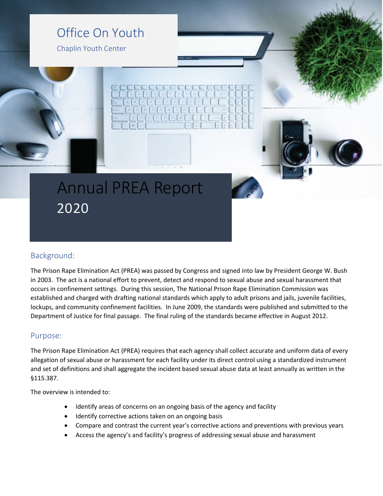### Office On Youth

Chaplin Youth Center

## Annual PREA Report 2020

### Background:

The Prison Rape Elimination Act (PREA) was passed by Congress and signed into law by President George W. Bush in 2003. The act is a national effort to prevent, detect and respond to sexual abuse and sexual harassment that occurs in confinement settings. During this session, The National Prison Rape Elimination Commission was established and charged with drafting national standards which apply to adult prisons and jails, juvenile facilities, lockups, and community confinement facilities. In June 2009, the standards were published and submitted to the Department of Justice for final passage. The final ruling of the standards became effective in August 2012.

### Purpose:

The Prison Rape Elimination Act (PREA) requires that each agency shall collect accurate and uniform data of every allegation of sexual abuse or harassment for each facility under its direct control using a standardized instrument and set of definitions and shall aggregate the incident based sexual abuse data at least annually as written in the §115.387.

The overview is intended to:

- Identify areas of concerns on an ongoing basis of the agency and facility
- Identify corrective actions taken on an ongoing basis
- Compare and contrast the current year's corrective actions and preventions with previous years
- Access the agency's and facility's progress of addressing sexual abuse and harassment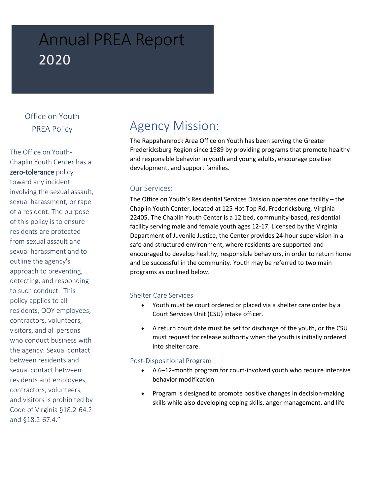# Annual PREA Report 2020

### Office on Youth PREA Policy

The Office on Youth-Chaplin Youth Center has a zero-tolerance policy toward any incident involving the sexual assault, sexual harassment, or rape of a resident. The purpose of this policy is to ensure residents are protected from sexual assault and sexual harassment and to outline the agency's approach to preventing, detecting, and responding to such conduct. This policy applies to all residents, OOY employees, contractors, volunteers, visitors, and all persons who conduct business with the agency. Sexual contact between residents and sexual contact between residents and employees, contractors, volunteers, and visitors is prohibited by Code of Virginia §18.2-64.2 and §18.2-67.4."

### Agency Mission:

The Rappahannock Area Office on Youth has been serving the Greater Fredericksburg Region since 1989 by providing programs that promote healthy and responsible behavior in youth and young adults, encourage positive development, and support families.

### Our Services:

The Office on Youth's Residential Services Division operates one facility – the Chaplin Youth Center, located at 125 Hot Top Rd, Fredericksburg, Virginia 22405. The Chaplin Youth Center is a 12 bed, community-based, residential facility serving male and female youth ages 12-17. Licensed by the Virginia Department of Juvenile Justice, the Center provides 24-hour supervision in a safe and structured environment, where residents are supported and encouraged to develop healthy, responsible behaviors, in order to return home and be successful in the community. Youth may be referred to two main programs as outlined below.

#### Shelter Care Services

- Youth must be court ordered or placed via a shelter care order by a Court Services Unit (CSU) intake officer.
- A return court date must be set for discharge of the youth, or the CSU must request for release authority when the youth is initially ordered into shelter care.

#### Post-Dispositional Program

- A 6–12-month program for court-involved youth who require intensive behavior modification
- Program is designed to promote positive changes in decision-making skills while also developing coping skills, anger management, and life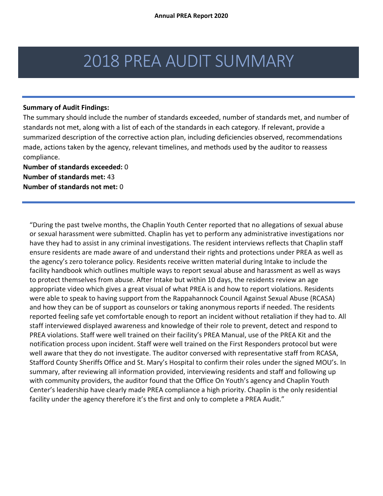## 2018 PREA AUDIT SUMMARY

#### **Summary of Audit Findings:**

The summary should include the number of standards exceeded, number of standards met, and number of standards not met, along with a list of each of the standards in each category. If relevant, provide a summarized description of the corrective action plan, including deficiencies observed, recommendations made, actions taken by the agency, relevant timelines, and methods used by the auditor to reassess compliance.

**Number of standards exceeded:** 0 **Number of standards met:** 43 **Number of standards not met:** 0

"During the past twelve months, the Chaplin Youth Center reported that no allegations of sexual abuse or sexual harassment were submitted. Chaplin has yet to perform any administrative investigations nor have they had to assist in any criminal investigations. The resident interviews reflects that Chaplin staff ensure residents are made aware of and understand their rights and protections under PREA as well as the agency's zero tolerance policy. Residents receive written material during Intake to include the facility handbook which outlines multiple ways to report sexual abuse and harassment as well as ways to protect themselves from abuse. After Intake but within 10 days, the residents review an age appropriate video which gives a great visual of what PREA is and how to report violations. Residents were able to speak to having support from the Rappahannock Council Against Sexual Abuse (RCASA) and how they can be of support as counselors or taking anonymous reports if needed. The residents reported feeling safe yet comfortable enough to report an incident without retaliation if they had to. All staff interviewed displayed awareness and knowledge of their role to prevent, detect and respond to PREA violations. Staff were well trained on their facility's PREA Manual, use of the PREA Kit and the notification process upon incident. Staff were well trained on the First Responders protocol but were well aware that they do not investigate. The auditor conversed with representative staff from RCASA, Stafford County Sheriffs Office and St. Mary's Hospital to confirm their roles under the signed MOU's. In summary, after reviewing all information provided, interviewing residents and staff and following up with community providers, the auditor found that the Office On Youth's agency and Chaplin Youth Center's leadership have clearly made PREA compliance a high priority. Chaplin is the only residential facility under the agency therefore it's the first and only to complete a PREA Audit."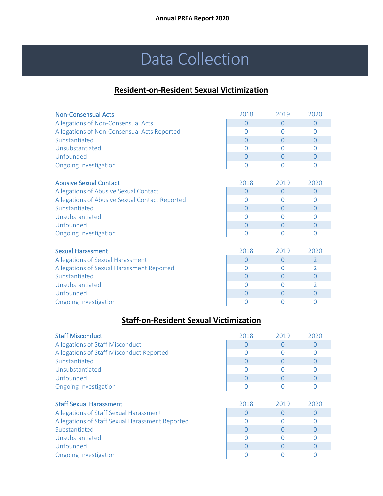# Data Collection

### **Resident-on-Resident Sexual Victimization**

| <b>Non-Consensual Acts</b>                     | 2018     | 2019     | 2020           |
|------------------------------------------------|----------|----------|----------------|
| Allegations of Non-Consensual Acts             | $\Omega$ | $\Omega$ | $\Omega$       |
| Allegations of Non-Consensual Acts Reported    | 0        | 0        | $\Omega$       |
| Substantiated                                  | 0        | $\Omega$ | $\Omega$       |
| Unsubstantiated                                | O        | O        | $\Omega$       |
| Unfounded                                      | 0        | $\Omega$ | $\overline{0}$ |
| <b>Ongoing Investigation</b>                   | O        | O        | $\Omega$       |
|                                                |          |          |                |
| <b>Abusive Sexual Contact</b>                  | 2018     | 2019     | 2020           |
| Allegations of Abusive Sexual Contact          | $\Omega$ | $\Omega$ | $\Omega$       |
| Allegations of Abusive Sexual Contact Reported | O        | O        | $\Omega$       |
| Substantiated                                  | 0        | $\Omega$ | $\Omega$       |
| Unsubstantiated                                | O        | O        | $\Omega$       |
| Unfounded                                      | $\Omega$ | $\Omega$ | 0              |
| <b>Ongoing Investigation</b>                   | $\Omega$ | 0        | $\Omega$       |
|                                                |          |          |                |
| <b>Sexual Harassment</b>                       | 2018     | 2019     | 2020           |
| Allegations of Sexual Harassment               | $\Omega$ | $\Omega$ | $\overline{2}$ |
| Allegations of Sexual Harassment Reported      | O        | O        | $\overline{2}$ |
| Substantiated                                  | 0        | $\Omega$ | $\Omega$       |
| Unsubstantiated                                | U        | O        | 2              |
| Unfounded                                      | $\Omega$ | $\Omega$ | 0              |
| <b>Ongoing Investigation</b>                   | 0        | 0        | $\Omega$       |

### **Staff-on-Resident Sexual Victimization**

| <b>Staff Misconduct</b>                         | 2018 | 2019 | 2020     |
|-------------------------------------------------|------|------|----------|
| Allegations of Staff Misconduct                 |      | O    | O        |
| Allegations of Staff Misconduct Reported        |      |      |          |
| Substantiated                                   |      |      | $\Omega$ |
| Unsubstantiated                                 |      |      | O        |
| Unfounded                                       |      |      | O        |
| <b>Ongoing Investigation</b>                    |      | O    | O        |
|                                                 |      |      |          |
| <b>Staff Sexual Harassment</b>                  | 2018 | 2019 | 2020     |
| Allegations of Staff Sexual Harassment          | U    | Ω    | $\Omega$ |
|                                                 |      |      |          |
| Allegations of Staff Sexual Harassment Reported |      |      | O        |
| Substantiated                                   |      |      | O        |
| Unsubstantiated                                 |      |      |          |
| Unfounded                                       |      |      | O        |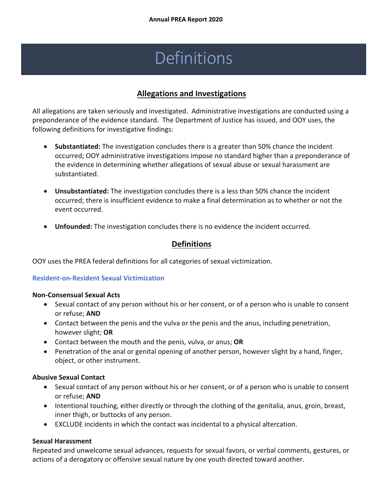# Definitions

### **Allegations and Investigations**

All allegations are taken seriously and investigated. Administrative investigations are conducted using a preponderance of the evidence standard. The Department of Justice has issued, and OOY uses, the following definitions for investigative findings:

- **Substantiated:** The investigation concludes there is a greater than 50% chance the incident occurred; OOY administrative investigations impose no standard higher than a preponderance of the evidence in determining whether allegations of sexual abuse or sexual harassment are substantiated.
- **Unsubstantiated:** The investigation concludes there is a less than 50% chance the incident occurred; there is insufficient evidence to make a final determination as to whether or not the event occurred.
- **Unfounded:** The investigation concludes there is no evidence the incident occurred.

### **Definitions**

OOY uses the PREA federal definitions for all categories of sexual victimization.

### **Resident-on-Resident Sexual Victimization**

### **Non-Consensual Sexual Acts**

- Sexual contact of any person without his or her consent, or of a person who is unable to consent or refuse; **AND**
- Contact between the penis and the vulva or the penis and the anus, including penetration, however slight; **OR**
- Contact between the mouth and the penis, vulva, or anus; **OR**
- Penetration of the anal or genital opening of another person, however slight by a hand, finger, object, or other instrument.

### **Abusive Sexual Contact**

- Sexual contact of any person without his or her consent, or of a person who is unable to consent or refuse; **AND**
- Intentional touching, either directly or through the clothing of the genitalia, anus, groin, breast, inner thigh, or buttocks of any person.
- EXCLUDE incidents in which the contact was incidental to a physical altercation.

### **Sexual Harassment**

Repeated and unwelcome sexual advances, requests for sexual favors, or verbal comments, gestures, or actions of a derogatory or offensive sexual nature by one youth directed toward another.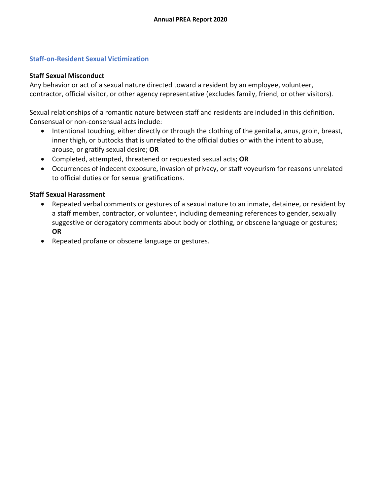### **Staff-on-Resident Sexual Victimization**

### **Staff Sexual Misconduct**

Any behavior or act of a sexual nature directed toward a resident by an employee, volunteer, contractor, official visitor, or other agency representative (excludes family, friend, or other visitors).

Sexual relationships of a romantic nature between staff and residents are included in this definition. Consensual or non-consensual acts include:

- Intentional touching, either directly or through the clothing of the genitalia, anus, groin, breast, inner thigh, or buttocks that is unrelated to the official duties or with the intent to abuse, arouse, or gratify sexual desire; **OR**
- Completed, attempted, threatened or requested sexual acts; **OR**
- Occurrences of indecent exposure, invasion of privacy, or staff voyeurism for reasons unrelated to official duties or for sexual gratifications.

### **Staff Sexual Harassment**

- Repeated verbal comments or gestures of a sexual nature to an inmate, detainee, or resident by a staff member, contractor, or volunteer, including demeaning references to gender, sexually suggestive or derogatory comments about body or clothing, or obscene language or gestures; **OR**
- Repeated profane or obscene language or gestures.